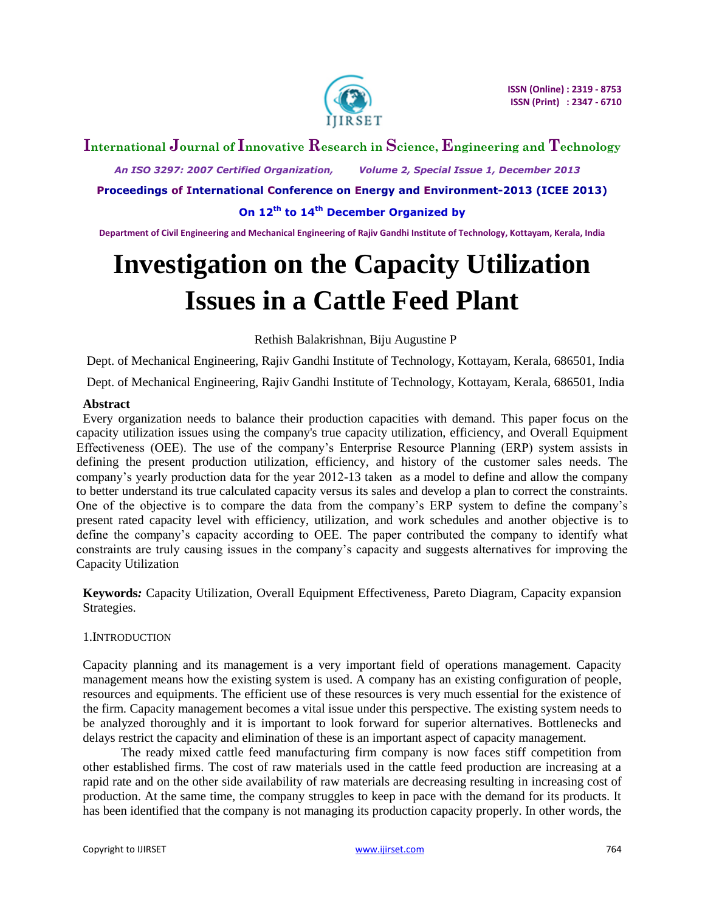

# **International Journal of Innovative Research in Science, Engineering and Technology**

 *An ISO 3297: 2007 Certified Organization, Volume 2, Special Issue 1, December 2013*

**Proceedings of International Conference on Energy and Environment-2013 (ICEE 2013)**

**On 12th to 14th December Organized by**

**Department of Civil Engineering and Mechanical Engineering of Rajiv Gandhi Institute of Technology, Kottayam, Kerala, India**

# **Investigation on the Capacity Utilization Issues in a Cattle Feed Plant**

Rethish Balakrishnan, Biju Augustine P

Dept. of Mechanical Engineering, Rajiv Gandhi Institute of Technology, Kottayam, Kerala, 686501, India

Dept. of Mechanical Engineering, Rajiv Gandhi Institute of Technology, Kottayam, Kerala, 686501, India

## **Abstract**

Every organization needs to balance their production capacities with demand. This paper focus on the capacity utilization issues using the company's true capacity utilization, efficiency, and Overall Equipment Effectiveness (OEE). The use of the company's Enterprise Resource Planning (ERP) system assists in defining the present production utilization, efficiency, and history of the customer sales needs. The company's yearly production data for the year 2012-13 taken as a model to define and allow the company to better understand its true calculated capacity versus its sales and develop a plan to correct the constraints. One of the objective is to compare the data from the company's ERP system to define the company's present rated capacity level with efficiency, utilization, and work schedules and another objective is to define the company's capacity according to OEE. The paper contributed the company to identify what constraints are truly causing issues in the company's capacity and suggests alternatives for improving the Capacity Utilization

**Keywords***:* Capacity Utilization, Overall Equipment Effectiveness, Pareto Diagram, Capacity expansion Strategies.

#### 1.INTRODUCTION

Capacity planning and its management is a very important field of operations management. Capacity management means how the existing system is used. A company has an existing configuration of people, resources and equipments. The efficient use of these resources is very much essential for the existence of the firm. Capacity management becomes a vital issue under this perspective. The existing system needs to be analyzed thoroughly and it is important to look forward for superior alternatives. Bottlenecks and delays restrict the capacity and elimination of these is an important aspect of capacity management.

 The ready mixed cattle feed manufacturing firm company is now faces stiff competition from other established firms. The cost of raw materials used in the cattle feed production are increasing at a rapid rate and on the other side availability of raw materials are decreasing resulting in increasing cost of production. At the same time, the company struggles to keep in pace with the demand for its products. It has been identified that the company is not managing its production capacity properly. In other words, the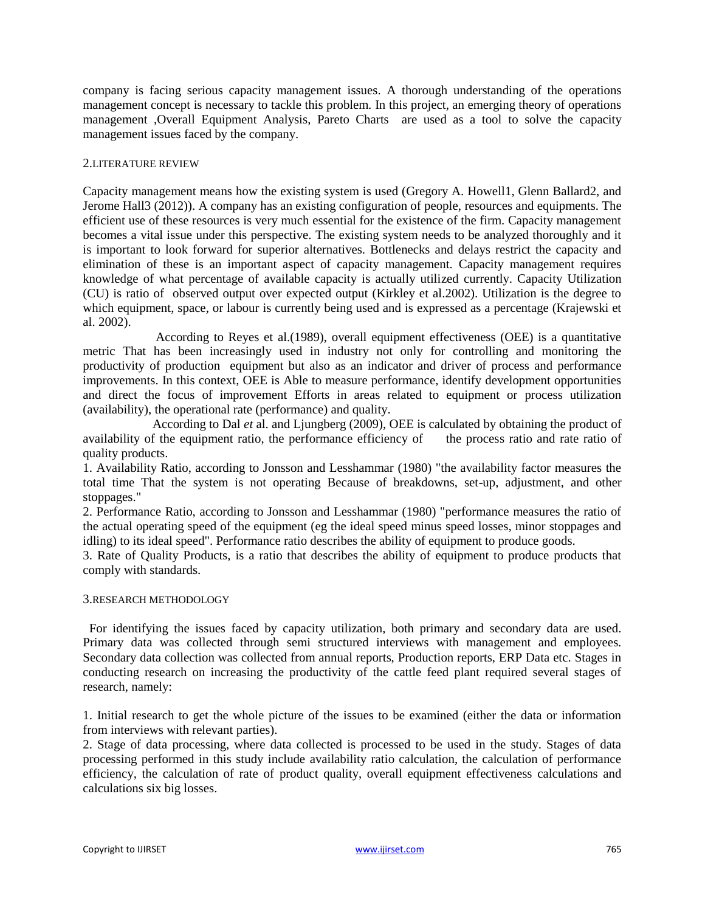company is facing serious capacity management issues. A thorough understanding of the operations management concept is necessary to tackle this problem. In this project, an emerging theory of operations management ,Overall Equipment Analysis, Pareto Charts are used as a tool to solve the capacity management issues faced by the company.

#### 2.LITERATURE REVIEW

Capacity management means how the existing system is used (Gregory A. Howell1, Glenn Ballard2, and Jerome Hall3 (2012)). A company has an existing configuration of people, resources and equipments. The efficient use of these resources is very much essential for the existence of the firm. Capacity management becomes a vital issue under this perspective. The existing system needs to be analyzed thoroughly and it is important to look forward for superior alternatives. Bottlenecks and delays restrict the capacity and elimination of these is an important aspect of capacity management. Capacity management requires knowledge of what percentage of available capacity is actually utilized currently. Capacity Utilization (CU) is ratio of observed output over expected output (Kirkley et al.2002). Utilization is the degree to which equipment, space, or labour is currently being used and is expressed as a percentage (Krajewski et al. 2002).

 According to Reyes et al.(1989), overall equipment effectiveness (OEE) is a quantitative metric That has been increasingly used in industry not only for controlling and monitoring the productivity of production equipment but also as an indicator and driver of process and performance improvements. In this context, OEE is Able to measure performance, identify development opportunities and direct the focus of improvement Efforts in areas related to equipment or process utilization (availability), the operational rate (performance) and quality.

 According to Dal *et* al. and Ljungberg (2009), OEE is calculated by obtaining the product of availability of the equipment ratio, the performance efficiency of the process ratio and rate ratio of quality products.

1. Availability Ratio, according to Jonsson and Lesshammar (1980) "the availability factor measures the total time That the system is not operating Because of breakdowns, set-up, adjustment, and other stoppages."

2. Performance Ratio, according to Jonsson and Lesshammar (1980) "performance measures the ratio of the actual operating speed of the equipment (eg the ideal speed minus speed losses, minor stoppages and idling) to its ideal speed". Performance ratio describes the ability of equipment to produce goods.

3. Rate of Quality Products, is a ratio that describes the ability of equipment to produce products that comply with standards.

## 3.RESEARCH METHODOLOGY

 For identifying the issues faced by capacity utilization, both primary and secondary data are used. Primary data was collected through semi structured interviews with management and employees. Secondary data collection was collected from annual reports, Production reports, ERP Data etc. Stages in conducting research on increasing the productivity of the cattle feed plant required several stages of research, namely:

1. Initial research to get the whole picture of the issues to be examined (either the data or information from interviews with relevant parties).

2. Stage of data processing, where data collected is processed to be used in the study. Stages of data processing performed in this study include availability ratio calculation, the calculation of performance efficiency, the calculation of rate of product quality, overall equipment effectiveness calculations and calculations six big losses.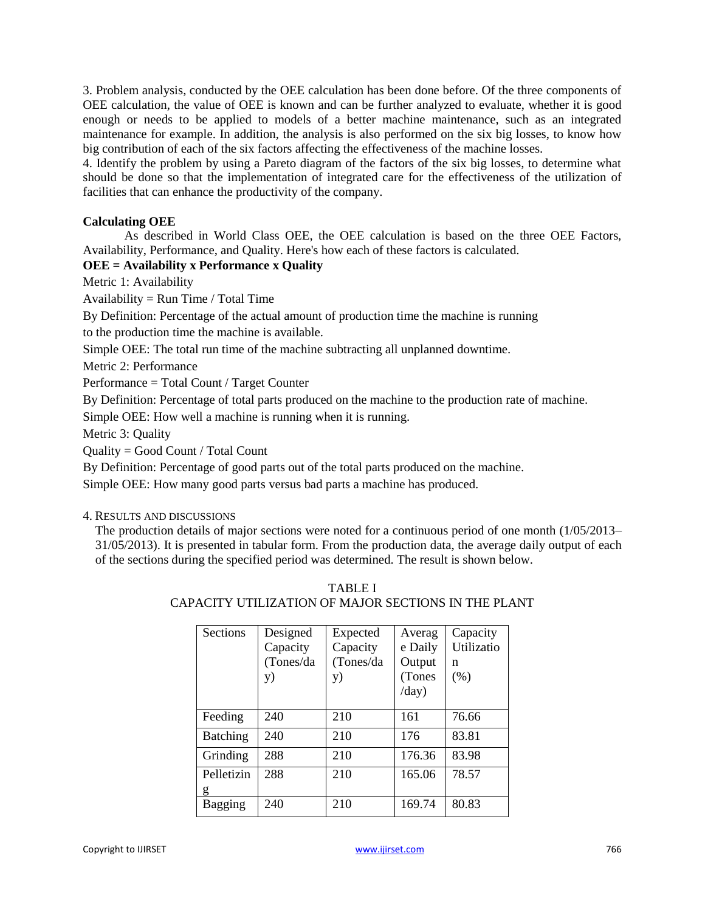3. Problem analysis, conducted by the OEE calculation has been done before. Of the three components of OEE calculation, the value of OEE is known and can be further analyzed to evaluate, whether it is good enough or needs to be applied to models of a better machine maintenance, such as an integrated maintenance for example. In addition, the analysis is also performed on the six big losses, to know how big contribution of each of the six factors affecting the effectiveness of the machine losses.

4. Identify the problem by using a Pareto diagram of the factors of the six big losses, to determine what should be done so that the implementation of integrated care for the effectiveness of the utilization of facilities that can enhance the productivity of the company.

## **Calculating OEE**

As described in World Class OEE, the OEE calculation is based on the three OEE Factors, Availability, Performance, and Quality. Here's how each of these factors is calculated.

# **OEE = Availability x Performance x Quality**

Metric 1: Availability

Availability =  $Run Time / Total Time$ 

By Definition: Percentage of the actual amount of production time the machine is running

to the production time the machine is available.

Simple OEE: The total run time of the machine subtracting all unplanned downtime.

Metric 2: Performance

Performance = Total Count / Target Counter

By Definition: Percentage of total parts produced on the machine to the production rate of machine.

Simple OEE: How well a machine is running when it is running.

Metric 3: Quality

Quality = Good Count / Total Count

By Definition: Percentage of good parts out of the total parts produced on the machine.

Simple OEE: How many good parts versus bad parts a machine has produced.

#### 4. RESULTS AND DISCUSSIONS

The production details of major sections were noted for a continuous period of one month (1/05/2013– 31/05/2013). It is presented in tabular form. From the production data, the average daily output of each of the sections during the specified period was determined. The result is shown below.

| Sections        | Designed  | Expected  | Averag  | Capacity   |
|-----------------|-----------|-----------|---------|------------|
|                 | Capacity  | Capacity  | e Daily | Utilizatio |
|                 | (Tones/da | (Tones/da | Output  | n          |
|                 | y)        | y)        | (Tones  | (% )       |
|                 |           |           | /day)   |            |
|                 |           |           |         |            |
| Feeding         | 240       | 210       | 161     | 76.66      |
| <b>Batching</b> | 240       | 210       | 176     | 83.81      |
| Grinding        | 288       | 210       | 176.36  | 83.98      |
| Pelletizin      | 288       | 210       | 165.06  | 78.57      |
| g               |           |           |         |            |
| Bagging         | 240       | 210       | 169.74  | 80.83      |

TABLE I CAPACITY UTILIZATION OF MAJOR SECTIONS IN THE PLANT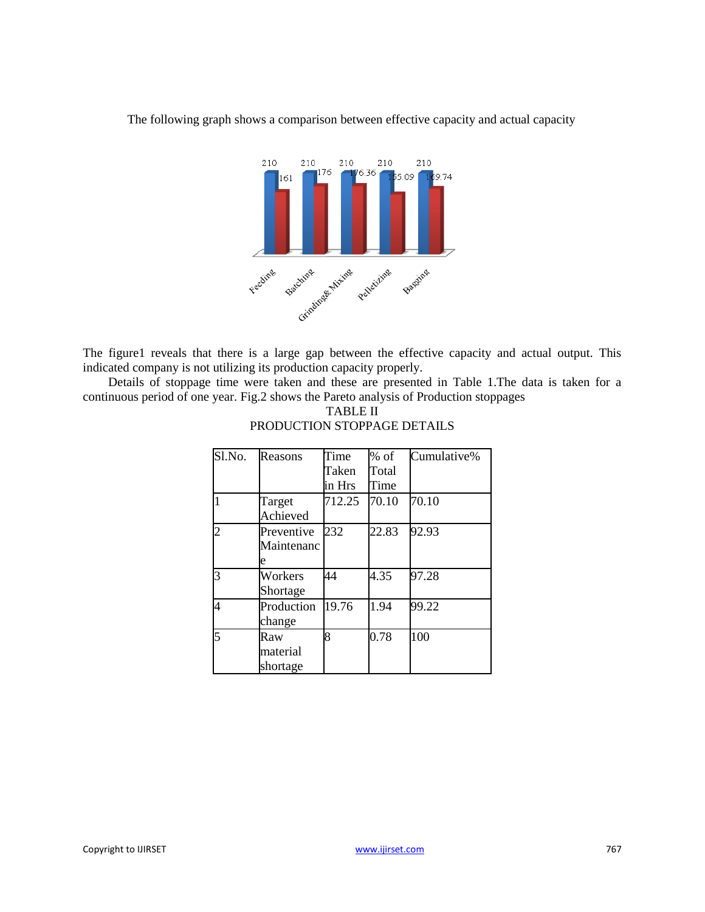The following graph shows a comparison between effective capacity and actual capacity



The figure1 reveals that there is a large gap between the effective capacity and actual output. This indicated company is not utilizing its production capacity properly.

 Details of stoppage time were taken and these are presented in Table 1.The data is taken for a continuous period of one year. Fig.2 shows the Pareto analysis of Production stoppages

| Sl.No.         | Reasons    | Time   | % of  | Cumulative% |
|----------------|------------|--------|-------|-------------|
|                |            | Taken  | Total |             |
|                |            | in Hrs | Time  |             |
| $\overline{1}$ | Target     | 712.25 | 70.10 | 70.10       |
|                | Achieved   |        |       |             |
| $\overline{c}$ | Preventive | 232    | 22.83 | 92.93       |
|                | Maintenanc |        |       |             |
|                | e          |        |       |             |
| $\overline{3}$ | Workers    | 44     | 4.35  | 97.28       |
|                | Shortage   |        |       |             |
| $\overline{4}$ | Production | 19.76  | 1.94  | 99.22       |
|                | change     |        |       |             |
| 5              | Raw        | 8      | 0.78  | 100         |
|                | material   |        |       |             |
|                | shortage   |        |       |             |

TABLE II PRODUCTION STOPPAGE DETAILS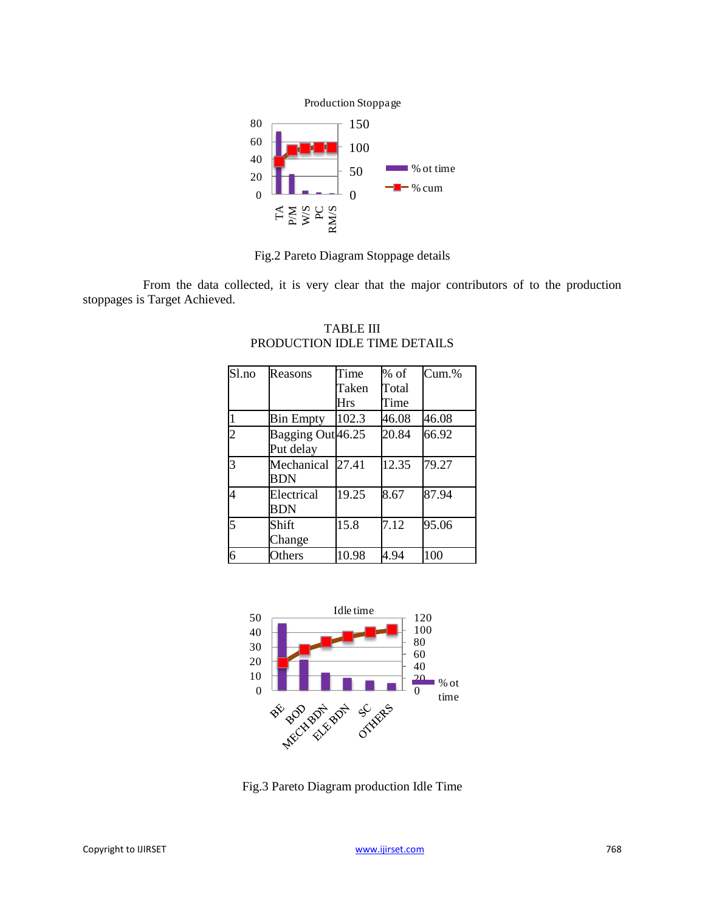

Fig.2 Pareto Diagram Stoppage details

 From the data collected, it is very clear that the major contributors of to the production stoppages is Target Achieved.

| Sl.no          | Reasons                        | Time       | $%$ of | $Cum$ .% |
|----------------|--------------------------------|------------|--------|----------|
|                |                                | Taken      | Total  |          |
|                |                                | <b>Hrs</b> | Time   |          |
| $\overline{1}$ | <b>Bin Empty</b>               | 102.3      | 46.08  | 46.08    |
| $\overline{2}$ | Bagging Out 46.25<br>Put delay |            | 20.84  | 66.92    |
| $\overline{3}$ | Mechanical<br><b>BDN</b>       | 27.41      | 12.35  | 79.27    |
| 4              | Electrical<br><b>BDN</b>       | 19.25      | 8.67   | 87.94    |
| 5              | Shift<br>Change                | 15.8       | 7.12   | 95.06    |
| 6              | Others                         | 10.98      | 4.94   | 100      |

TABLE III PRODUCTION IDLE TIME DETAILS



Fig.3 Pareto Diagram production Idle Time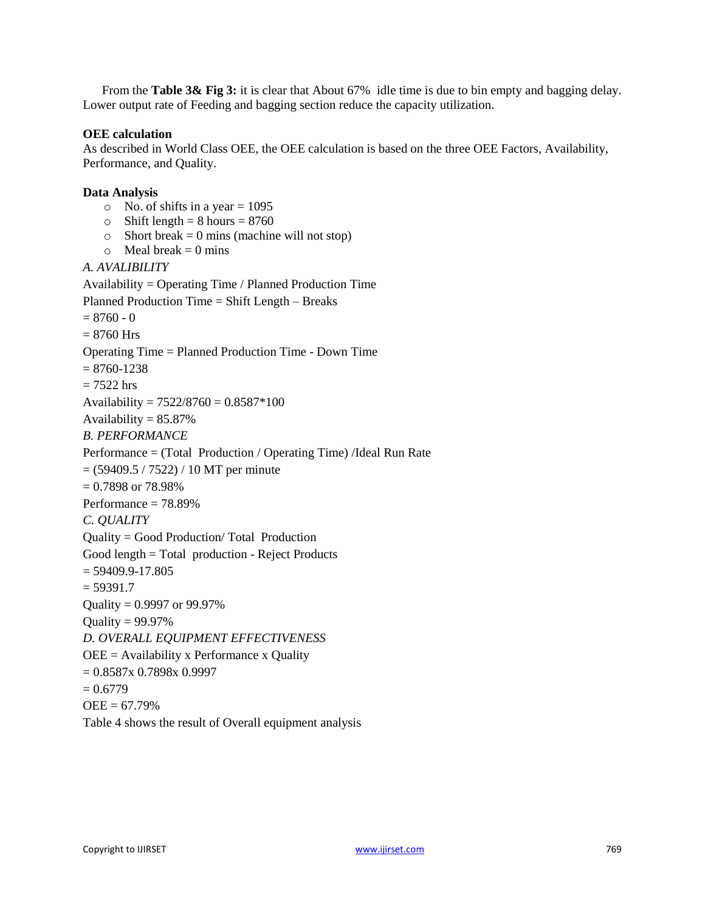From the **Table 3& Fig 3:** it is clear that About 67% idle time is due to bin empty and bagging delay. Lower output rate of Feeding and bagging section reduce the capacity utilization.

## **OEE calculation**

As described in World Class OEE, the OEE calculation is based on the three OEE Factors, Availability, Performance, and Quality.

## **Data Analysis**

- $\circ$  No. of shifts in a year = 1095
- $\circ$  Shift length = 8 hours = 8760
- $\circ$  Short break = 0 mins (machine will not stop)
- $\circ$  Meal break = 0 mins

#### *A. AVALIBILITY*

Availability = Operating Time / Planned Production Time Planned Production Time = Shift Length – Breaks  $= 8760 - 0$  $= 8760$  Hrs Operating Time = Planned Production Time - Down Time  $= 8760 - 1238$  $= 7522$  hrs Availability =  $7522/8760 = 0.8587*100$ Availability  $= 85.87\%$ *B. PERFORMANCE* Performance = (Total Production / Operating Time) /Ideal Run Rate  $= (59409.5 / 7522) / 10 MT$  per minute  $= 0.7898$  or  $78.98\%$ Performance = 78.89% *C. QUALITY* Quality = Good Production/ Total Production Good length = Total production - Reject Products  $= 59409.9 - 17.805$  $= 59391.7$ Quality = 0.9997 or 99.97% Quality  $= 99.97\%$ *D. OVERALL EQUIPMENT EFFECTIVENESS*  $OEE =$  Availability x Performance x Quality  $= 0.8587x$  0.7898x 0.9997  $= 0.6779$  $OEE = 67.79%$ Table 4 shows the result of Overall equipment analysis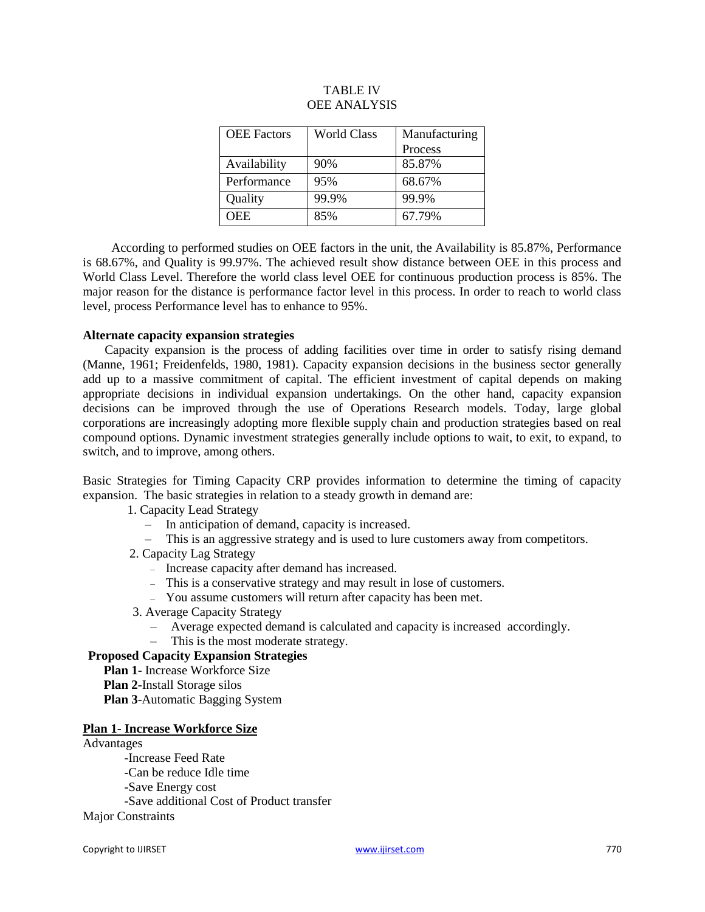| <b>OEE</b> Factors | <b>World Class</b> | Manufacturing |  |
|--------------------|--------------------|---------------|--|
|                    |                    | Process       |  |
| Availability       | 90%                | 85.87%        |  |
| Performance        | 95%                | 68.67%        |  |
| Quality            | 99.9%              | 99.9%         |  |
| <b>OEE</b>         | 85%                | 67.79%        |  |

## TABLE IV OEE ANALYSIS

 According to performed studies on OEE factors in the unit, the Availability is 85.87%, Performance is 68.67%, and Quality is 99.97%. The achieved result show distance between OEE in this process and World Class Level. Therefore the world class level OEE for continuous production process is 85%. The major reason for the distance is performance factor level in this process. In order to reach to world class level, process Performance level has to enhance to 95%.

#### **Alternate capacity expansion strategies**

 Capacity expansion is the process of adding facilities over time in order to satisfy rising demand (Manne, 1961; Freidenfelds, 1980, 1981). Capacity expansion decisions in the business sector generally add up to a massive commitment of capital. The efficient investment of capital depends on making appropriate decisions in individual expansion undertakings. On the other hand, capacity expansion decisions can be improved through the use of Operations Research models. Today, large global corporations are increasingly adopting more flexible supply chain and production strategies based on real compound options. Dynamic investment strategies generally include options to wait, to exit, to expand, to switch, and to improve, among others.

Basic Strategies for Timing Capacity CRP provides information to determine the timing of capacity expansion. The basic strategies in relation to a steady growth in demand are:

#### 1. Capacity Lead Strategy

- In anticipation of demand, capacity is increased.
- This is an aggressive strategy and is used to lure customers away from competitors.
- 2. Capacity Lag Strategy
	- Increase capacity after demand has increased.
	- This is a conservative strategy and may result in lose of customers.
	- You assume customers will return after capacity has been met.
- 3. Average Capacity Strategy
	- Average expected demand is calculated and capacity is increased accordingly.
- This is the most moderate strategy.

## **Proposed Capacity Expansion Strategies**

- **Plan 1** Increase Workforce Size
- **Plan 2-**Install Storage silos
- **Plan 3**-Automatic Bagging System

#### **Plan 1- Increase Workforce Size**

## Advantages

- -Increase Feed Rate
- -Can be reduce Idle time
- -Save Energy cost
- -Save additional Cost of Product transfer

## Major Constraints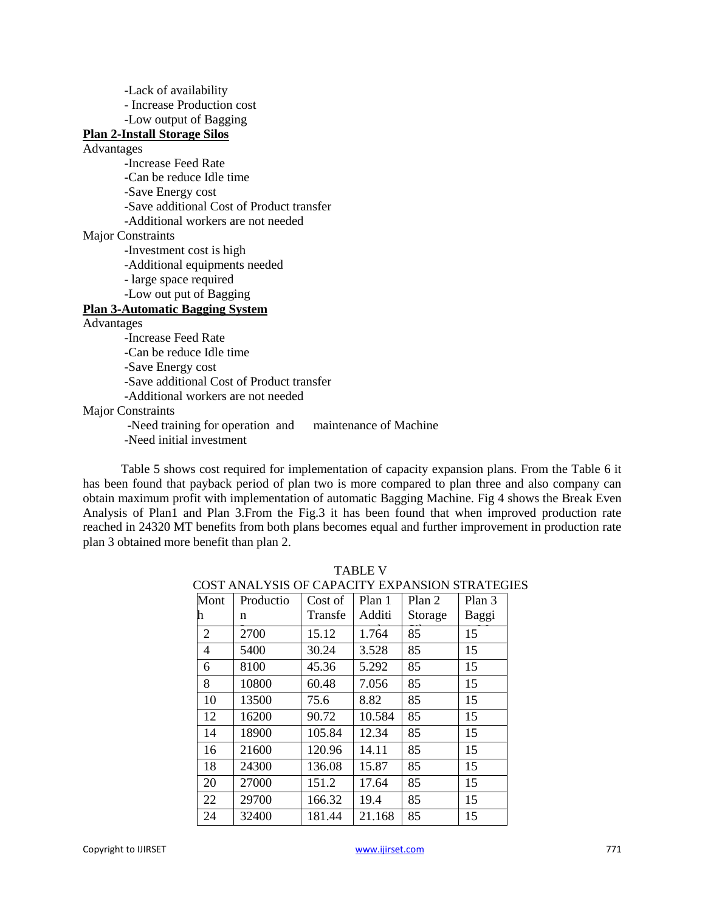-Lack of availability - Increase Production cost -Low output of Bagging **Plan 2-Install Storage Silos** Advantages -Increase Feed Rate -Can be reduce Idle time -Save Energy cost -Save additional Cost of Product transfer -Additional workers are not needed Major Constraints -Investment cost is high -Additional equipments needed - large space required -Low out put of Bagging **Plan 3-Automatic Bagging System** Advantages -Increase Feed Rate -Can be reduce Idle time -Save Energy cost -Save additional Cost of Product transfer -Additional workers are not needed

Major Constraints

-Need training for operation and maintenance of Machine

-Need initial investment

 Table 5 shows cost required for implementation of capacity expansion plans. From the Table 6 it has been found that payback period of plan two is more compared to plan three and also company can obtain maximum profit with implementation of automatic Bagging Machine. Fig 4 shows the Break Even Analysis of Plan1 and Plan 3.From the Fig.3 it has been found that when improved production rate reached in 24320 MT benefits from both plans becomes equal and further improvement in production rate plan 3 obtained more benefit than plan 2.

| COST ANALYSIS OF CAPACITY EXPANSION STRATEGI |           |         |        |         |        |
|----------------------------------------------|-----------|---------|--------|---------|--------|
| Mont                                         | Productio | Cost of | Plan 1 | Plan 2  | Plan 3 |
| h                                            | n         | Transfe | Additi | Storage | Baggi  |
| 2                                            | 2700      | 15.12   | 1.764  | 85      | 15     |
| 4                                            | 5400      | 30.24   | 3.528  | 85      | 15     |
| 6                                            | 8100      | 45.36   | 5.292  | 85      | 15     |
| 8                                            | 10800     | 60.48   | 7.056  | 85      | 15     |
| 10                                           | 13500     | 75.6    | 8.82   | 85      | 15     |
| 12                                           | 16200     | 90.72   | 10.584 | 85      | 15     |
| 14                                           | 18900     | 105.84  | 12.34  | 85      | 15     |
| 16                                           | 21600     | 120.96  | 14.11  | 85      | 15     |
| 18                                           | 24300     | 136.08  | 15.87  | 85      | 15     |
| 20                                           | 27000     | 151.2   | 17.64  | 85      | 15     |
| 22                                           | 29700     | 166.32  | 19.4   | 85      | 15     |
| 24                                           | 32400     | 181.44  | 21.168 | 85      | 15     |

TABLE V COST ANALYSIS OF CAPACITY EXPANSION STRATEGIES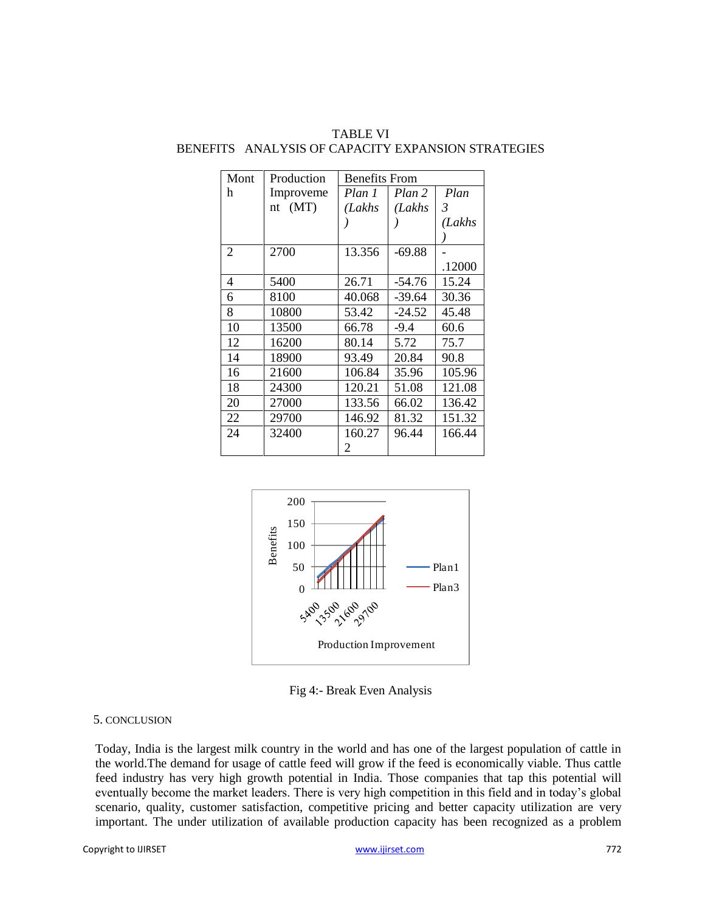| Mont           | Production | <b>Benefits From</b> |          |        |  |
|----------------|------------|----------------------|----------|--------|--|
| h              | Improveme  | Plan 1               | Plan 2   | Plan   |  |
|                | nt $(MT)$  | (Lakhs               | (Lakhs   | 3      |  |
|                |            |                      |          | (Lakhs |  |
|                |            |                      |          |        |  |
| $\overline{2}$ | 2700       | 13.356               | $-69.88$ |        |  |
|                |            |                      |          | .12000 |  |
| 4              | 5400       | 26.71                | -54.76   | 15.24  |  |
| 6              | 8100       | 40.068               | -39.64   | 30.36  |  |
| 8              | 10800      | 53.42                | $-24.52$ | 45.48  |  |
| 10             | 13500      | 66.78                | $-9.4$   | 60.6   |  |
| 12             | 16200      | 80.14                | 5.72     | 75.7   |  |
| 14             | 18900      | 93.49                | 20.84    | 90.8   |  |
| 16             | 21600      | 106.84               | 35.96    | 105.96 |  |
| 18             | 24300      | 120.21               | 51.08    | 121.08 |  |
| 20             | 27000      | 133.56               | 66.02    | 136.42 |  |
| 22             | 29700      | 146.92               | 81.32    | 151.32 |  |
| 24             | 32400      | 160.27               | 96.44    | 166.44 |  |
|                |            | 2                    |          |        |  |

TABLE VI BENEFITS ANALYSIS OF CAPACITY EXPANSION STRATEGIES



Fig 4:- Break Even Analysis

#### 5. CONCLUSION

Today, India is the largest milk country in the world and has one of the largest population of cattle in the world.The demand for usage of cattle feed will grow if the feed is economically viable. Thus cattle feed industry has very high growth potential in India. Those companies that tap this potential will eventually become the market leaders. There is very high competition in this field and in today's global scenario, quality, customer satisfaction, competitive pricing and better capacity utilization are very important. The under utilization of available production capacity has been recognized as a problem